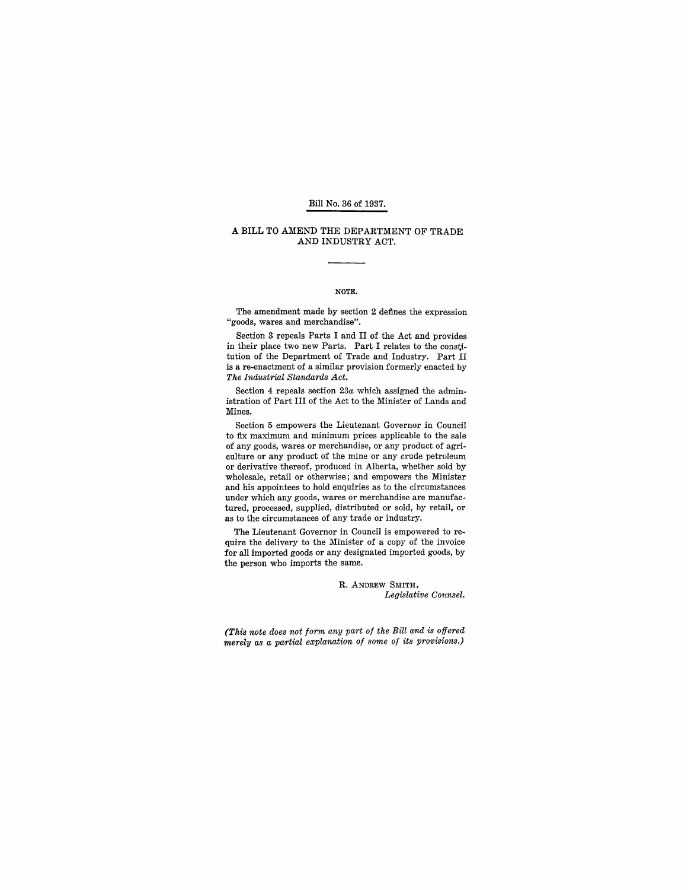### Bill No. 36 of 1937.

#### A BILL TO AMEND THE DEPARTMENT OF TRADE AND INDUSTRY ACT.

## NOTE.

The amendment made by section 2 defines the expression "goods, wares and merchandise".

Section 3 repeals Parts I and II of the Act and provides in their place two new Parts. Part I relates to the constitution of the Department of Trade and Industry. Part II is a re-enactment of a similar provision formerly enacted by *The Industrial Standards Act.* 

Section 4 repeals section 23a which assigned the administration of Part III of the Act to the Minister of Lands and Mines.

Section 5 empowers the Lieutenant Governor in Council to fix maximum and minimum prices applicable to the sale of any goods, wares or merchandise, or any product of agriculture or any product of the mine or any crude petroleum or derivative thereof, produced in Alberta, whether sold by wholesale, retail or otherwise; and empowers the Minister and his appointees to hold enquiries as to the circumstances under which any goods, wares or merchandise are manufactured, processed, supplied, distributed or sold, by retail, or as to the circumstances of any trade or industry.

The Lieutenant Governor in Council is empowered to require the delivery to the Minister of a copy of the invoice for all imported goods or any designated imported goods, by the person who imports the same.

> R. ANDREW SMITH, *Legislative Counsel.*

*(This note does not form any part of the Bill and is offered merely as a partial explanation of some of its provisions.)*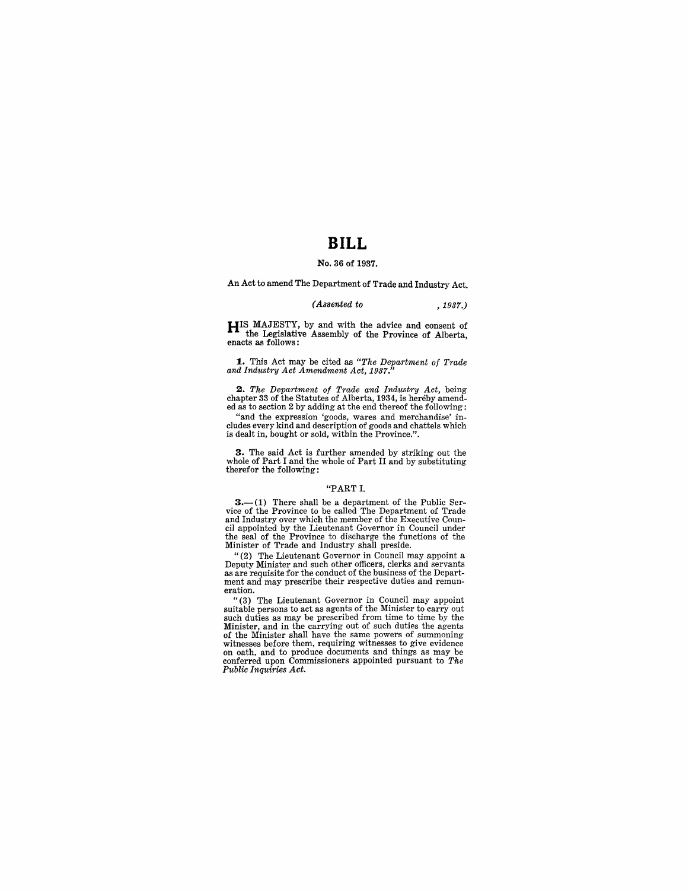# **BILL**

### No. 36 of 1937.

An Act to amend The Department of Trade and Industry Act.

## *(Assented to* ,1937.)

HIS MAJESTY, by and with the advice and consent of the Legislative Assembly of the Province of Alberta, enacts as follows:

1. This Act may be cited as *"The Department of Trade and Industry Act Amendment Act, 1937."* 

*2. The Department of Trade and Industry Act,* being chapter 33 of the Statutes of Alberta, 1934, is hereby amended as to section 2 by adding at the end thereof the following:

"and the expression 'goods, wares and merchandise' in-cludes every kind and description of goods and chattels which is dealt in, bought or sold, within the Province.".

3. The said Act is further amended by striking out the whole of Part I and the whole of Part II and by substituting therefor the following:

### "PART 1.

3.-(1) There shall be a department of the Public Ser-vice of the Province to be called The Department of Trade and Industry over which the member of the Executive Council appointed by the Lieutenant Governor in Council under the seal of the Province to discharge the functions of the Minister of Trade and Industry shall preside.<br>"(2) The Lieutenant Governor in Council may appoint a

Deputy Minister and such other officers, clerks and servants as are requisite for the conduct of the business of the Department and may prescribe their respective duties and remun- eration.

"(3) The Lieutenant Governor in Council may appoint suitable persons to act as agents of the Minister to carry out such duties as may be prescribed from time to time by the Minister, and in the carrying out of such duties the agents of the Minister shall have the same powers of summoning witnesses before them, requiring witnesses to give evidence on oath, and to produce documents and things as may be conferred upon Commissioners appointed pursuant to *The Public Inquiries Act.*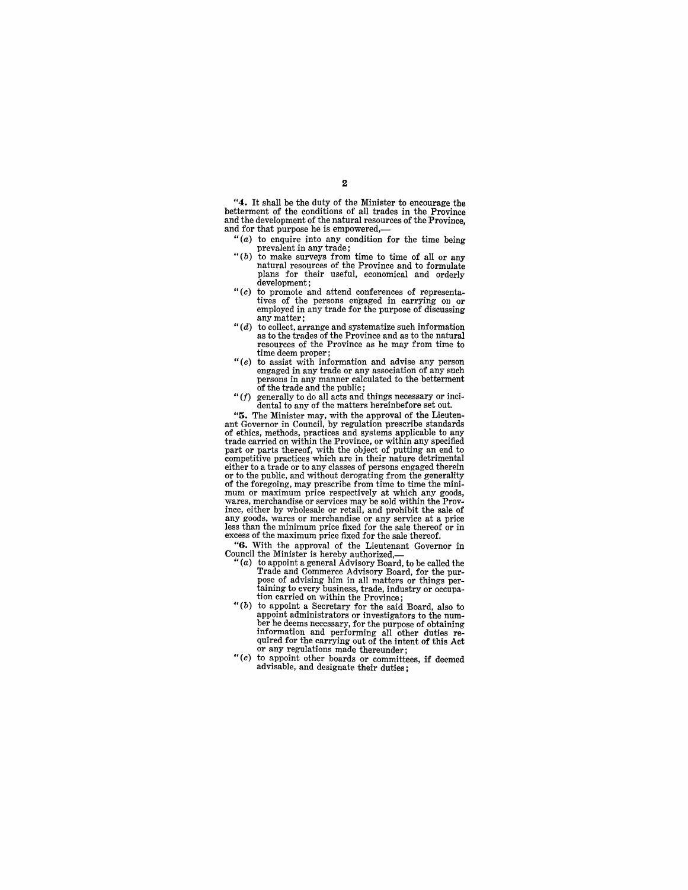"4. It shall be the duty of the Minister to encourage the betterment of the conditions of all trades in the Province and the development of the natural resources of the Province, and for that purpose he is empowered,-

- " $(a)$  to enquire into any condition for the time being
- prevalent in any trade;<br>
"(b) to make surveys from time to time of all or any natural resources of the Province and to formulate plans for their useful, economical and orderly development;
- *"(c)* to promote and attend conferences of representatives of the persons engaged in carrying 011 or employed in any trade for the purpose of discussing any matter;<br>" $(d)$  to collect, arrange and systematize such information
- as to the trades of the Province and as to the natural resources of the Province as he may from time to time deem proper;
- *"(e)* to assist with information and advise any person engaged in any trade or any association of any such persons in any manner calculated to the betterment of the trade and the public;
- " $(f)$  generally to do all acts and things necessary or incidental to any of the matters hereinbefore set out.

"5. The Minister may, with the approval of the Lieutenant Governor in Council, by regulation prescribe standards of ethics, methods, practices and systems applicable to any trade carried on within the Province, or within any specified part or parts thereof, with the object of putting an end to competitive practices which are in their nature detrimental either to a trade or to any classes of persons engaged therein or to the public, and without derogating from the generality of the foregoing, may prescribe from time to time the mini- mum or maximum price respectively at which any goods, wares, merchandise or services may be sold within the Province, either by wholesale or retail, and prohibit the sale of any goods, wares or merchandise or any service at a price excess of the maximum price fixed for the sale thereof.

"G. With the approval of the Lieutenant Governor in

- Council the Minister is hereby authorized,- "(a) to appoint a general Advisory Board, to be called the Trade and Commerce Advisory Board, for the purpose of advising him in all matters or things pertaining to every business, trade, industry or occupa-tion carried on within the Province;
- $($ b) to appoint a Secretary for the said Board, also to appoint administrators or investigators to the numappoint administrators or investigators to the num- ber he deems necessary, for the purpose of obtaining information and performing all other duties re-<br>quired for the carrying out of the intent of this Act<br>or any regulations made thereunder;
- or any regulations made thereunder;<br>"(c) to appoint other boards or committees, if deemed advisable, and designate their duties;

2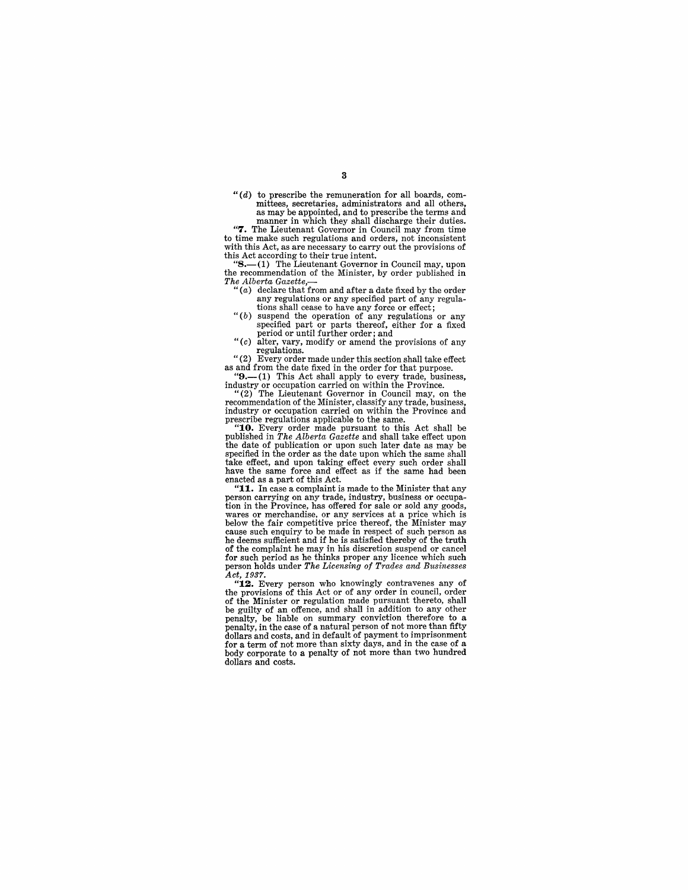*4'* (*d*) to prescribe the remuneration for all boards, com-<br>mittees, secretaries, administrators and all others, as may be appointed, and to prescribe the terms and<br>manner in which they shall discharge their duties.

"7. The Lieutenant Governor in Council may from time to time make such regulations and orders, not inconsistent with this Act, as are necessary to carry out the provisions of this Act according to their true intent.

 $\mathbf{B}(-1)$  The Lieutenant Governor in Council may, upon the recommendation of the Minister, by order published in The *Alberta Gazette*,—**1**<br>
"(*a*) declare that from and after a date fixed by the order

- any regulations or any specified part of any regula-tions shall cease to have any force or effect;
- " (b) suspend the operation of any regulations or any specified part or parts thereof, either for a fixed
- period or until further order; and "(c) alter, vary, modify or amend the provisions of any regulations.

"(2) Every order made under this section shall take effect as and from the date fixed in the order for that purpose.

"9.-(1) This Act shall apply to every trade, business, industry or occupation carried on within the Province.

"(2) The Lieutenant Governor in Council may, on the recommendation of the Minister, classify any trade, business, industry or occupation carried on within the Province and prescribe regulations applicable to the same.

'10. Every order made pursuant to this Act shall be published in *The Alberta Gazette* and shall take effect upon the date of publication or upon such later date as may be specified in the order as the date upon which the same shall take effect, and upon taking effect every such order shall have the same force and effect as if the same had been enacted as a part of this Act.

"11. In case a complaint is made to the Minister that any **PERSON CATTLE OF A CONSTRUCTED CATTLE OF A CONSTRUCT CATTLE OF A CONSTRUCT OF A CONSTRUCT OF A CONSTRUCT OF A CONSTRUCT OF A CONSTRUCT OF A CONSTRUCT OF A CONSTRUCT OF A CONSTRUCT OF A CONSTRUCT OF A CONSTRUCT OF A CONSTR** wares or merchandise, or any services at a price which is below the fair competitive price thereof, the Minister may cause such enquiry to be made in respect of such person as he deems sufficient and if he is satisfied thereby of the truth of the complaint he may in his discretion suspend or cancel for such period as he thinks proper any licence which such person holds under *The Licensing of Trades and Businesses* 

Act, 1937.<br>"**12.** Every person who knowingly contravenes any of the provisions of this Act or of any order in council, order of the Minister or regulation made pursuant thereto, shall be guilty of an offence, and shall in addition to any other penalty, be liable on summary conviction therefore to a penalty, in the case of a natural person of not more than fifty dollars and costs, and in default of payment to imprisonment for a term of not more than sixty days, and in the case of a body corporate to a penalty of not more than two hundred dollars and costs.

3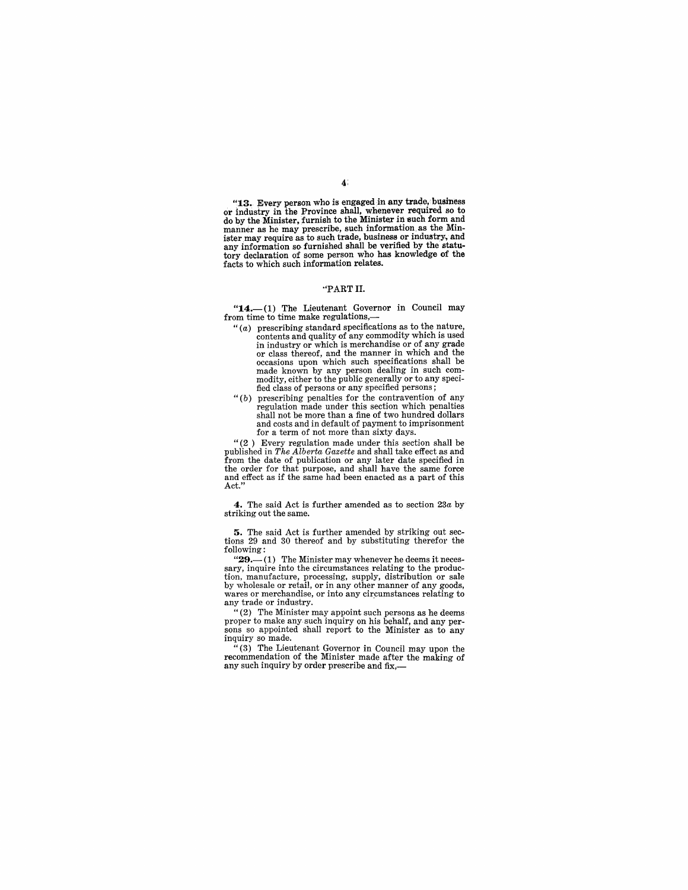$\mathbf{A}$ :

"13. Every person who is engaged in any trade, business or industry in the Province shall, whenever required so to do by the Minister, furnish to the Minister in such form and manner as he may prescribe, such information as the Minister may require as to such trade, business or industry., and any information so furnished shall be verified by the statutory declaration of some person who has knowledge of the facts to which such information relates.

#### ·'PARTII.

"14.-(1) The Lieutenant Governor in Council may from time to time make regulations,

- " $(a)$  prescribing standard specifications as to the nature, contents and quality of any commodity which is used or class thereof, and the manner in which and the occasions upon which such specifications shall be modity, either to the public generally or to any specified class of persons or any specified persons;
- $''(b)$  prescribing penalties for the contravention of any regulation made under this section which penalties shall not be more than a fine of two hundred dollars and costs and in default of payment to imprisonment for a term of not more than sixty days.

"(2) Every regulation made under this section shall be published in *The Alberta Gazette* and shall take effect as and from the date of publication or any later date specified in the order for that purpose, and shall have the same force and effect as if the same had been enacted as a part of this Act."

4. The said Act is further amended as to section *23a* by striking out the same.

5. The said Act is further amended by striking out sections 29 and 30 thereof and by substituting therefor the following:<br>"29.—1) The Minister may whenever he deems it neces-

sary, inquire into the circumstances relating to the producsary, inquire mito the Circumstances relating to the processing<br>by wholesale or retail, or in any other manner of any goods, wares or merchandise, or into any circumstances relating to any trade or industry.

""(2) The Minister may appoint such persons as he deems<br>proper to make any such inquiry on his behalf, and any perproper to make any such inquiry on his behalf, and any perinquiry so made.

"(3) The Lieutenant Governor in Council may upon the recommendation of the Minister made after the making of any such inquiry by order prescribe and fix,-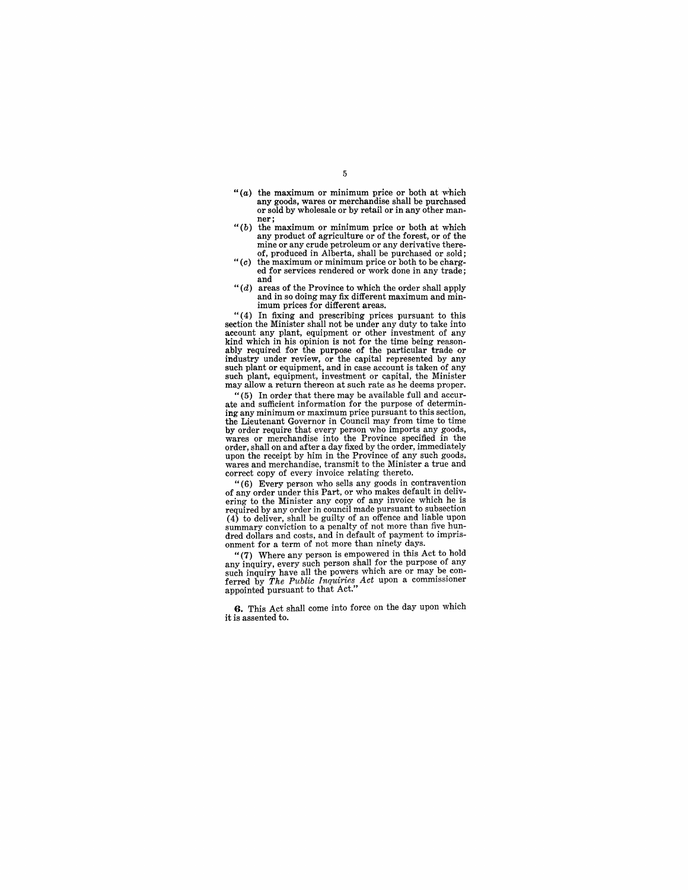- " $(a)$  the maximum or minimum price or both at which any goods, wares or merchandise shall be purchased or sold by wholesale or by retail or in any other man-ner;
- *"(b)* the maximum or minimum price or both at which any product of agriculture or of the forest, or of the mine or any crude petroleum or any derivative there-of, produced in Alberta, shall be purchased or sold;
- " $(c)$  the maximum or minimum price or both to be charged for services rendered or work done in any trade; and
- *"(d)* areas of the Province to which the order shall apply and in so doing may fix different maximum and minimum prices for different areas.

" (4) In fixing and prescribing prices pursuant to this section the Minister shall not be under any duty to take into account any plant, equipment or other investment of any kind which in his opinion is not for the time being reasonably required for the purpose of the particular trade or industry under review, or the capital represented by any such plant or equipment, and in case account is taken of any such plant, equipment, investment or capital, the Minister may allow a return thereon at such rate as he deems proper.<br>"(5) In order that there may be available full and accur-

ate and sufficient information for the purpose of determining any minimum or maximum price pursuant to this section, the Lieutenant Governor in Council may from time to time by order require that every person who imports any goods, wares or merchandise into the Province specified in the order, shall on and after a day fixed by the order, immediately wares and merchandise, transmit to the Minister a true and correct copy of every invoice relating thereto.

"(6) Every person who sells any goods in contravention of any order under this Part, or who makes default in delivering to the Minister any copy of any invoice which he is required by any order in council made pursuant to subsection  $(4)$  to deliver, shall be guilty of an offence and liable upon summary conviction to a penalty of not more than five hundred dollars and costs, and in default of payment to imprisonment for a term of not more than ninety days.

"(7) Where any person is empowered in this Act to hold any inquiry, every such person shall tor the purpose of any such inquiry have all the powers which are or may be con-<br>ferred by *The Public Inquiries Act* upon a commissioner appointed pursuant to that Act."

**G.** This Act shall come into force on the day upon which it is assented to.

5